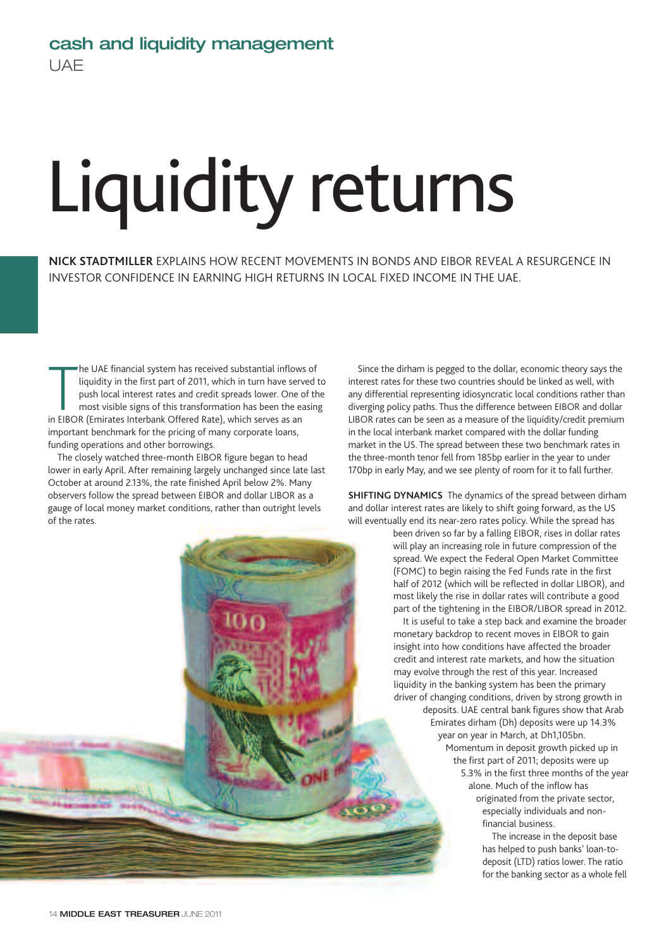## Liquidity returns

**NICK STADTMILLER** EXPLAINS HOW RECENT MOVEMENTS IN BONDS AND EIBOR REVEAL A RESURGENCE IN INVESTOR CONFIDENCE IN EARNING HIGH RETURNS IN LOCAL FIXED INCOME IN THE UAE.

The UAE financial system has received substantial inflow<br>liquidity in the first part of 2011, which in turn have ser<br>push local interest rates and credit spreads lower. One<br>most visible signs of this transformation has bee he UAE financial system has received substantial inflows of liquidity in the first part of 2011, which in turn have served to push local interest rates and credit spreads lower. One of the most visible signs of this transformation has been the easing important benchmark for the pricing of many corporate loans, funding operations and other borrowings.

The closely watched three-month EIBOR figure began to head lower in early April. After remaining largely unchanged since late last October at around 2.13%, the rate finished April below 2%. Many observers follow the spread between EIBOR and dollar LIBOR as a gauge of local money market conditions, rather than outright levels of the rates.

Since the dirham is pegged to the dollar, economic theory says the interest rates for these two countries should be linked as well, with any differential representing idiosyncratic local conditions rather than diverging policy paths. Thus the difference between EIBOR and dollar LIBOR rates can be seen as a measure of the liquidity/credit premium in the local interbank market compared with the dollar funding market in the US. The spread between these two benchmark rates in the three-month tenor fell from 185bp earlier in the year to under 170bp in early May, and we see plenty of room for it to fall further.

**SHIFTING DYNAMICS** The dynamics of the spread between dirham and dollar interest rates are likely to shift going forward, as the US will eventually end its near-zero rates policy. While the spread has

> been driven so far by a falling EIBOR, rises in dollar rates will play an increasing role in future compression of the spread. We expect the Federal Open Market Committee (FOMC) to begin raising the Fed Funds rate in the first half of 2012 (which will be reflected in dollar LIBOR), and most likely the rise in dollar rates will contribute a good part of the tightening in the EIBOR/LIBOR spread in 2012.

It is useful to take a step back and examine the broader monetary backdrop to recent moves in EIBOR to gain insight into how conditions have affected the broader credit and interest rate markets, and how the situation may evolve through the rest of this year. Increased liquidity in the banking system has been the primary driver of changing conditions, driven by strong growth in deposits. UAE central bank figures show that Arab Emirates dirham (Dh) deposits were up 14.3% year on year in March, at Dh1,105bn. Momentum in deposit growth picked up in the first part of 2011; deposits were up 5.3% in the first three months of the year alone. Much of the inflow has originated from the private sector, especially individuals and nonfinancial business.

> The increase in the deposit base has helped to push banks' loan-todeposit (LTD) ratios lower. The ratio for the banking sector as a whole fell